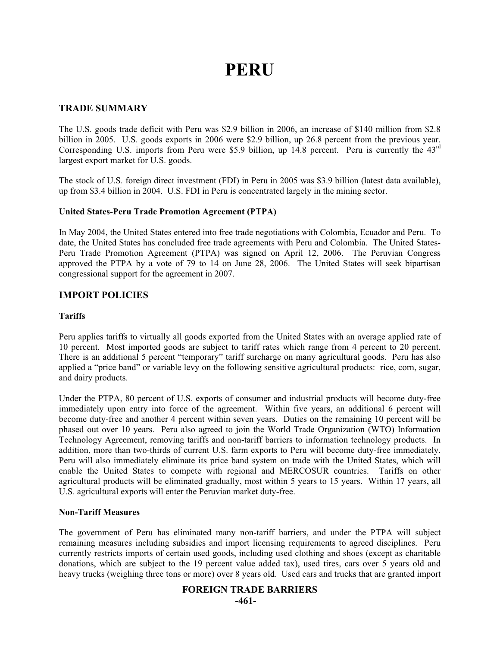# **PERU**

# **TRADE SUMMARY**

The U.S. goods trade deficit with Peru was \$2.9 billion in 2006, an increase of \$140 million from \$2.8 billion in 2005. U.S. goods exports in 2006 were \$2.9 billion, up 26.8 percent from the previous year. Corresponding U.S. imports from Peru were \$5.9 billion, up 14.8 percent. Peru is currently the 43rd largest export market for U.S. goods.

The stock of U.S. foreign direct investment (FDI) in Peru in 2005 was \$3.9 billion (latest data available), up from \$3.4 billion in 2004. U.S. FDI in Peru is concentrated largely in the mining sector.

#### **United States-Peru Trade Promotion Agreement (PTPA)**

In May 2004, the United States entered into free trade negotiations with Colombia, Ecuador and Peru. To date, the United States has concluded free trade agreements with Peru and Colombia. The United States-Peru Trade Promotion Agreement (PTPA) was signed on April 12, 2006. The Peruvian Congress approved the PTPA by a vote of 79 to 14 on June 28, 2006. The United States will seek bipartisan congressional support for the agreement in 2007.

#### **IMPORT POLICIES**

#### **Tariffs**

Peru applies tariffs to virtually all goods exported from the United States with an average applied rate of 10 percent. Most imported goods are subject to tariff rates which range from 4 percent to 20 percent. There is an additional 5 percent "temporary" tariff surcharge on many agricultural goods. Peru has also applied a "price band" or variable levy on the following sensitive agricultural products: rice, corn, sugar, and dairy products.

Under the PTPA, 80 percent of U.S. exports of consumer and industrial products will become duty-free immediately upon entry into force of the agreement. Within five years, an additional 6 percent will become duty-free and another 4 percent within seven years. Duties on the remaining 10 percent will be phased out over 10 years. Peru also agreed to join the World Trade Organization (WTO) Information Technology Agreement, removing tariffs and non-tariff barriers to information technology products. In addition, more than two-thirds of current U.S. farm exports to Peru will become duty-free immediately. Peru will also immediately eliminate its price band system on trade with the United States, which will enable the United States to compete with regional and MERCOSUR countries. Tariffs on other agricultural products will be eliminated gradually, most within 5 years to 15 years. Within 17 years, all U.S. agricultural exports will enter the Peruvian market duty-free.

#### **Non-Tariff Measures**

The government of Peru has eliminated many non-tariff barriers, and under the PTPA will subject remaining measures including subsidies and import licensing requirements to agreed disciplines. Peru currently restricts imports of certain used goods, including used clothing and shoes (except as charitable donations, which are subject to the 19 percent value added tax), used tires, cars over 5 years old and heavy trucks (weighing three tons or more) over 8 years old. Used cars and trucks that are granted import

#### **FOREIGN TRADE BARRIERS**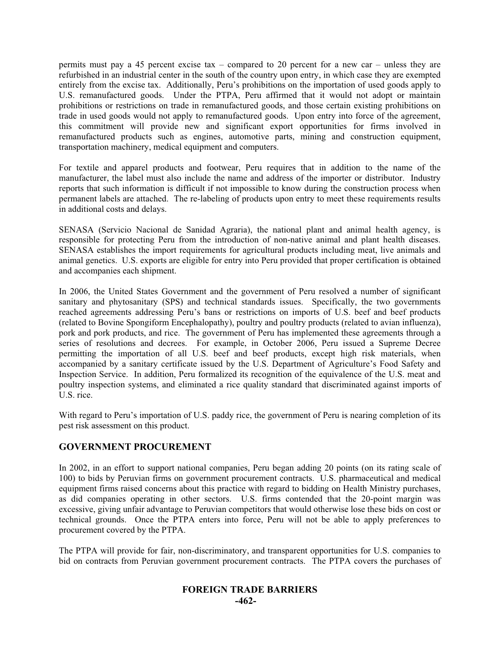permits must pay a 45 percent excise tax – compared to 20 percent for a new car – unless they are refurbished in an industrial center in the south of the country upon entry, in which case they are exempted entirely from the excise tax. Additionally, Peru's prohibitions on the importation of used goods apply to U.S. remanufactured goods. Under the PTPA, Peru affirmed that it would not adopt or maintain prohibitions or restrictions on trade in remanufactured goods, and those certain existing prohibitions on trade in used goods would not apply to remanufactured goods. Upon entry into force of the agreement, this commitment will provide new and significant export opportunities for firms involved in remanufactured products such as engines, automotive parts, mining and construction equipment, transportation machinery, medical equipment and computers.

For textile and apparel products and footwear, Peru requires that in addition to the name of the manufacturer, the label must also include the name and address of the importer or distributor. Industry reports that such information is difficult if not impossible to know during the construction process when permanent labels are attached. The re-labeling of products upon entry to meet these requirements results in additional costs and delays.

SENASA (Servicio Nacional de Sanidad Agraria), the national plant and animal health agency, is responsible for protecting Peru from the introduction of non-native animal and plant health diseases. SENASA establishes the import requirements for agricultural products including meat, live animals and animal genetics. U.S. exports are eligible for entry into Peru provided that proper certification is obtained and accompanies each shipment.

In 2006, the United States Government and the government of Peru resolved a number of significant sanitary and phytosanitary (SPS) and technical standards issues. Specifically, the two governments reached agreements addressing Peru's bans or restrictions on imports of U.S. beef and beef products (related to Bovine Spongiform Encephalopathy), poultry and poultry products (related to avian influenza), pork and pork products, and rice. The government of Peru has implemented these agreements through a series of resolutions and decrees. For example, in October 2006, Peru issued a Supreme Decree permitting the importation of all U.S. beef and beef products, except high risk materials, when accompanied by a sanitary certificate issued by the U.S. Department of Agriculture's Food Safety and Inspection Service. In addition, Peru formalized its recognition of the equivalence of the U.S. meat and poultry inspection systems, and eliminated a rice quality standard that discriminated against imports of U.S. rice.

With regard to Peru's importation of U.S. paddy rice, the government of Peru is nearing completion of its pest risk assessment on this product.

# **GOVERNMENT PROCUREMENT**

In 2002, in an effort to support national companies, Peru began adding 20 points (on its rating scale of 100) to bids by Peruvian firms on government procurement contracts. U.S. pharmaceutical and medical equipment firms raised concerns about this practice with regard to bidding on Health Ministry purchases, as did companies operating in other sectors. U.S. firms contended that the 20-point margin was excessive, giving unfair advantage to Peruvian competitors that would otherwise lose these bids on cost or technical grounds. Once the PTPA enters into force, Peru will not be able to apply preferences to procurement covered by the PTPA.

The PTPA will provide for fair, non-discriminatory, and transparent opportunities for U.S. companies to bid on contracts from Peruvian government procurement contracts. The PTPA covers the purchases of

# **FOREIGN TRADE BARRIERS**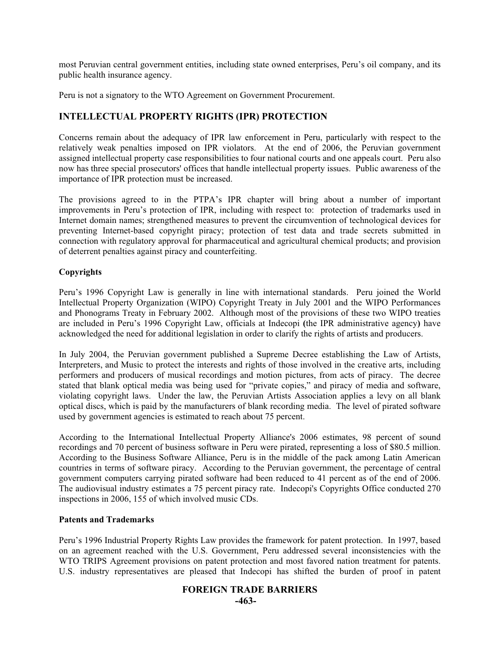most Peruvian central government entities, including state owned enterprises, Peru's oil company, and its public health insurance agency.

Peru is not a signatory to the WTO Agreement on Government Procurement.

# **INTELLECTUAL PROPERTY RIGHTS (IPR) PROTECTION**

Concerns remain about the adequacy of IPR law enforcement in Peru, particularly with respect to the relatively weak penalties imposed on IPR violators. At the end of 2006, the Peruvian government assigned intellectual property case responsibilities to four national courts and one appeals court. Peru also now has three special prosecutors' offices that handle intellectual property issues. Public awareness of the importance of IPR protection must be increased.

The provisions agreed to in the PTPA's IPR chapter will bring about a number of important improvements in Peru's protection of IPR, including with respect to: protection of trademarks used in Internet domain names; strengthened measures to prevent the circumvention of technological devices for preventing Internet-based copyright piracy; protection of test data and trade secrets submitted in connection with regulatory approval for pharmaceutical and agricultural chemical products; and provision of deterrent penalties against piracy and counterfeiting.

#### **Copyrights**

Peru's 1996 Copyright Law is generally in line with international standards. Peru joined the World Intellectual Property Organization (WIPO) Copyright Treaty in July 2001 and the WIPO Performances and Phonograms Treaty in February 2002. Although most of the provisions of these two WIPO treaties are included in Peru's 1996 Copyright Law, officials at Indecopi **(**the IPR administrative agency**)** have acknowledged the need for additional legislation in order to clarify the rights of artists and producers.

In July 2004, the Peruvian government published a Supreme Decree establishing the Law of Artists, Interpreters, and Music to protect the interests and rights of those involved in the creative arts, including performers and producers of musical recordings and motion pictures, from acts of piracy. The decree stated that blank optical media was being used for "private copies," and piracy of media and software, violating copyright laws. Under the law, the Peruvian Artists Association applies a levy on all blank optical discs, which is paid by the manufacturers of blank recording media. The level of pirated software used by government agencies is estimated to reach about 75 percent.

According to the International Intellectual Property Alliance's 2006 estimates, 98 percent of sound recordings and 70 percent of business software in Peru were pirated, representing a loss of \$80.5 million. According to the Business Software Alliance, Peru is in the middle of the pack among Latin American countries in terms of software piracy. According to the Peruvian government, the percentage of central government computers carrying pirated software had been reduced to 41 percent as of the end of 2006. The audiovisual industry estimates a 75 percent piracy rate. Indecopi's Copyrights Office conducted 270 inspections in 2006, 155 of which involved music CDs.

#### **Patents and Trademarks**

Peru's 1996 Industrial Property Rights Law provides the framework for patent protection. In 1997, based on an agreement reached with the U.S. Government, Peru addressed several inconsistencies with the WTO TRIPS Agreement provisions on patent protection and most favored nation treatment for patents. U.S. industry representatives are pleased that Indecopi has shifted the burden of proof in patent

# **FOREIGN TRADE BARRIERS**

**-463-**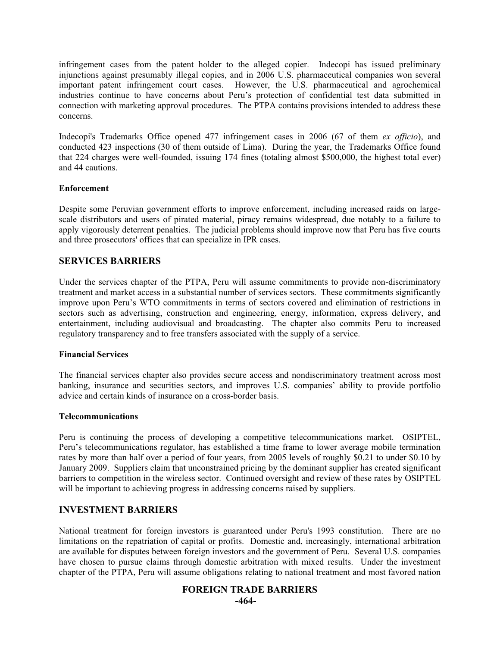infringement cases from the patent holder to the alleged copier. Indecopi has issued preliminary injunctions against presumably illegal copies, and in 2006 U.S. pharmaceutical companies won several important patent infringement court cases. However, the U.S. pharmaceutical and agrochemical industries continue to have concerns about Peru's protection of confidential test data submitted in connection with marketing approval procedures. The PTPA contains provisions intended to address these concerns.

Indecopi's Trademarks Office opened 477 infringement cases in 2006 (67 of them *ex officio*), and conducted 423 inspections (30 of them outside of Lima). During the year, the Trademarks Office found that 224 charges were well-founded, issuing 174 fines (totaling almost \$500,000, the highest total ever) and 44 cautions.

#### **Enforcement**

Despite some Peruvian government efforts to improve enforcement, including increased raids on largescale distributors and users of pirated material, piracy remains widespread, due notably to a failure to apply vigorously deterrent penalties. The judicial problems should improve now that Peru has five courts and three prosecutors' offices that can specialize in IPR cases.

#### **SERVICES BARRIERS**

Under the services chapter of the PTPA, Peru will assume commitments to provide non-discriminatory treatment and market access in a substantial number of services sectors. These commitments significantly improve upon Peru's WTO commitments in terms of sectors covered and elimination of restrictions in sectors such as advertising, construction and engineering, energy, information, express delivery, and entertainment, including audiovisual and broadcasting. The chapter also commits Peru to increased regulatory transparency and to free transfers associated with the supply of a service.

#### **Financial Services**

The financial services chapter also provides secure access and nondiscriminatory treatment across most banking, insurance and securities sectors, and improves U.S. companies' ability to provide portfolio advice and certain kinds of insurance on a cross-border basis.

#### **Telecommunications**

Peru is continuing the process of developing a competitive telecommunications market. OSIPTEL, Peru's telecommunications regulator, has established a time frame to lower average mobile termination rates by more than half over a period of four years, from 2005 levels of roughly \$0.21 to under \$0.10 by January 2009. Suppliers claim that unconstrained pricing by the dominant supplier has created significant barriers to competition in the wireless sector. Continued oversight and review of these rates by OSIPTEL will be important to achieving progress in addressing concerns raised by suppliers.

#### **INVESTMENT BARRIERS**

National treatment for foreign investors is guaranteed under Peru's 1993 constitution. There are no limitations on the repatriation of capital or profits. Domestic and, increasingly, international arbitration are available for disputes between foreign investors and the government of Peru. Several U.S. companies have chosen to pursue claims through domestic arbitration with mixed results. Under the investment chapter of the PTPA, Peru will assume obligations relating to national treatment and most favored nation

#### **FOREIGN TRADE BARRIERS**

**-464-**